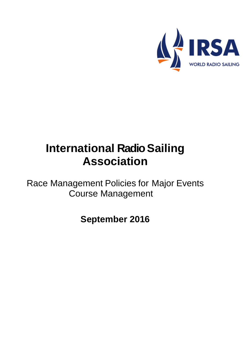

# **International Radio Sailing Association**

Race Management Policies for Major Events Course Management

**September 2016**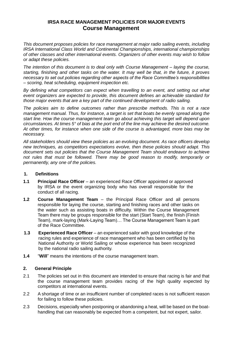# **IRSA RACE MANAGEMENT POLICIES FOR MAJOR EVENTS Course Management**

*This document proposes policies for race management at major radio sailing events, including IRSA International Class World and Continental Championships, international championships of other classes and other international events. Organizers of other events may wish to follow or adapt these policies.*

*The intention of this document is to deal only with Course Management – laying the course, starting, finishing and other tasks on the water. It may well be that, in the future, it proves necessary to set out policies regarding other aspects of the Race Committee's responsibilities – scoring, heat scheduling, equipment inspection etc.*

*By defining what competitors can expect when travelling to an event, and setting out what event organizers are expected to provide, this document defines an achievable standard for those major events that are a key part of the continued development of radio sailing.*

*The policies aim to define outcomes rather than prescribe methods. This is not a race management manual. Thus, for instance, a target is set that boats be evenly spread along the start line. How the course management team go about achieving this target will depend upon circumstances. At times 5° of bias at the port end of the line may achieve the desired outcome. At other times, for instance when one side of the course is advantaged, more bias may be necessary.*

*All stakeholders should view these policies as an evolving document. As race officers develop new techniques, as competitors expectations evolve, then these policies should adapt. This document sets out policies that the Course Management Team should endeavor to achieve not rules that must be followed. There may be good reason to modify, temporarily or permanently, any one of the policies.* 

#### **1. Definitions**

- **1.1 Principal Race Officer** an experienced Race Officer appointed or approved by IRSA or the event organizing body who has overall responsible for the conduct of all racing.
- **1.2 Course Management Team** the Principal Race Officer and all persons responsible for laying the course, starting and finishing races and other tasks on the water such as assisting boats in difficulty. Within the Course Management Team there may be groups responsible for the start (Start Team), the finish (Finish Team), mark-laying (Mark-Laying Team)… The Course Management Team is part of the Race Committee.
- **1.3 Experienced Race Officer** an experienced sailor with good knowledge of the racing rules and experience of race management who has been certified by his National Authority or World Sailing or whose experience has been recognized by the national radio sailing authority.
- **1.4** "**Will**" means the intentions of the course management team.

#### **2. General Principle**

- 2.1 The policies set out in this document are intended to ensure that racing is fair and that the course management team provides racing of the high quality expected by competitors at international events.
- 2.2 A shortage of time or an insufficient number of completed races is not sufficient reason for failing to follow these policies.
- 2.3 Decisions, especially when postponing or abandoning a heat, will be based on the boathandling that can reasonably be expected from a competent, but not expert, sailor.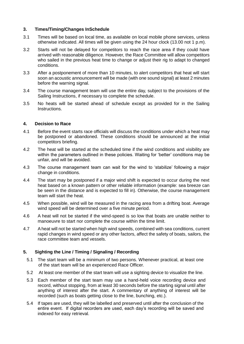#### **3. Times/Timing/Changes InSchedule**

- 3.1 Times will be based on local time, as available on local mobile phone services, unless otherwise indicated. All times will be given using the 24 hour clock (13.00 not 1 p.m).
- 3.2 Starts will not be delayed for competitors to reach the race area if they could have arrived with reasonable diligence. However, the Race Committee will allow competitors who sailed in the previous heat time to change or adjust their rig to adapt to changed conditions.
- 3.3 After a postponement of more than 10 minutes, to alert competitors that heat will start soon an acoustic announcement will be made (with one sound signal) at least 2 minutes before the warning signal.
- 3.4 The course management team will use the entire day, subject to the provisions of the Sailing Instructions, if necessary to complete the schedule.
- 3.5 No heats will be started ahead of schedule except as provided for in the Sailing Instructions.

#### **4. Decision to Race**

- 4.1 Before the event starts race officials will discuss the conditions under which a heat may be postponed or abandoned. These conditions should be announced at the initial competitors briefing.
- 4.2 The heat will be started at the scheduled time if the wind conditions and visibility are within the parameters outlined in these policies. Waiting for 'better' conditions may be unfair, and will be avoided.
- 4.3 The course management team can wait for the wind to 'stabilize' following a major change in conditions.
- 4.4 The start may be postponed if a major wind shift is expected to occur during the next heat based on a known pattern or other reliable information (example: sea breeze can be seen in the distance and is expected to fill in). Otherwise, the course management team will start the heat.
- 4.5 When possible, wind will be measured in the racing area from a drifting boat. Average wind speed will be determined over a five minute period.
- 4.6 A heat will not be started if the wind-speed is so low that boats are unable neither to manoeuvre to start nor complete the course within the time limit.
- 4.7 A heat will not be started when high wind speeds, combined with sea conditions, current rapid changes in wind speed or any other factors, affect the safety of boats, sailors, the race committee team and vessels.

#### **5. Sighting the Line / Timing / Signaling / Recording**

- 5.1 The start team will be a minimum of two persons. Whenever practical, at least one of the start team will be an experienced Race Officer.
- 5.2 At least one member of the start team will use a sighting device to visualize the line.
- 5.3 Each member of the start team may use a hand-held voice recording device and record, without stopping, from at least 30 seconds before the starting signal until after anything of interest after the start. A commentary of anything of interest will be recorded (such as boats getting close to the line, bunching, etc.).
- 5.4 If tapes are used, they will be labelled and preserved until after the conclusion of the entire event. If digital recorders are used, each day's recording will be saved and indexed for easy retrieval.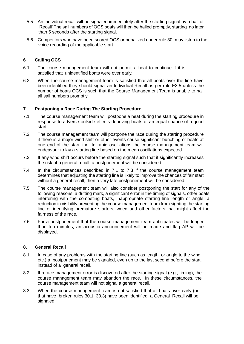- 5.5 An individual recall will be signaled immediately after the starting signal.by a hail of 'Recall' The sail numbers of OCS boats will then be hailed promptly, starting no later than 5 seconds after the starting signal.
- 5.6 Competitors who have been scored OCS or penalized under rule 30, may listen to the voice recording of the applicable start.

# **6 Calling OCS**

- 6.1 The course management team will not permit a heat to continue if it is satisfied that unidentified boats were over early.
- 6.2 When the course management team is satisfied that all boats over the line have been identified they should signal an Individual Recall as per rule E3.5 unless the number of boats OCS is such that the Course Management Team is unable to hail all sail numbers promptly.

# **7. Postponing a Race During The Starting Procedure**

- 7.1 The course management team will postpone a heat during the starting procedure in response to adverse outside effects depriving boats of an equal chance of a good start.
- 7.2 The course management team will postpone the race during the starting procedure if there is a major wind shift or other events cause significant bunching of boats at one end of the start line. In rapid oscillations the course management team will endeavour to lay a starting line based on the mean oscillations expected.
- 7.3 If any wind shift occurs before the starting signal such that it significantly increases the risk of a general recall, a postponement will be considered.
- 7.4 In the circumstances described in 7.1 to 7.3 if the course management team determines that adjusting the starting line is likely to improve the chances of fair start without a general recall, then a very late postponement will be considered.
- 7.5 The course management team will also consider postponing the start for any of the following reasons: a drifting mark, a significant error in the timing of signals, other boats interfering with the competing boats, inappropriate starting line length or angle, a reduction in visibility preventing the course management team from sighting the starting line or identifying premature starters, weed and other factors that might affect the fairness of the race.
- 7.6 For a postponement that the course management team anticipates will be longer than ten minutes, an acoustic announcement will be made and flag AP will be displayed.

#### **8. General Recall**

- 8.1 In case of any problems with the starting line (such as length, or angle to the wind, etc.) a postponement may be signaled, even up to the last second before the start, instead of a general recall.
- 8.2 If a race management error is discovered after the starting signal (e.g., timing), the course management team may abandon the race. In these circumstances, the course management team will not signal a general recall.
- 8.3 When the course management team is not satisfied that all boats over early (or that have broken rules 30.1, 30.3) have been identified, a General Recall will be signaled.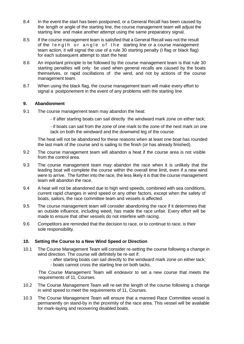- 8.4 In the event the start has been postponed, or a General Recall has been caused by the length or angle of the starting line, the course management team will adjust the starting line and make another attempt using the same preparatory signal.
- 8.5 If the course management team is satisfied that a General Recall was not the result of the length or angle of the starting line or a course management team action, it will signal the use of a rule 30 starting penalty (I flag or black flag) for each subsequent attempt to start the heat
- 8.6 An important principle to be followed by the course management team is that rule 30 starting penalties will only be used when general recalls are caused by the boats themselves, or rapid oscillations of the wind, and not by actions of the course management team.
- 8.7 When using the black flag, the course management team will make every effort to signal a postponement in the event of any problems with the starting line.

#### **9. Abandonment**

- 9.1 The course management team may abandon the heat:
	- if after starting boats can sail directly the windward mark zone on either tack;

- if boats can sail from the zone of one mark to the zone of the next mark on one tack on both the windward and the downwind leg of the course.

The heat will not be abandoned for these reasons when at least one boat has rounded the last mark of the course and is sailing to the finish (or has already finished).

- 9.2 The course management team will abandon a heat if the course area is not visible from the control area.
- 9.3 The course management team may abandon the race when it is unlikely that the leading boat will complete the course within the overall time limit, even if a new wind were to arrive. The further into the race, the less likely it is that the course management team will abandon the race.
- 9.4 A heat will not be abandoned due to high wind speeds, combined with sea conditions, current rapid changes in wind speed or any other factors, except when the safety of boats, sailors, the race committee team and vessels is affected.
- 9.5 The course management team will consider abandoning the race if it determines that an outside influence, including weed, has made the race unfair. Every effort will be made to ensure that other vessels do not interfere with racing.
- 9.6 Competitors are reminded that the decision to race, or to continue to race, is their sole responsibility.

#### **10. Setting the Course to a New Wind Speed or Direction**

- 10.1 The Course Management Team will consider re-setting the course following a change in wind direction. The course will definitely be re-set if:
	- after starting boats can sail directly to the windward mark zone on either tack;
	- boats cannot cross the starting line on both tacks.

The Course Management Team will endeavor to set a new course that meets the requirements of 11, Courses.

- 10.2 The Course Management Team will re-set the length of the course following a change in wind speed to meet the requirements of 11, Courses.
- 10.3 The Course Management Team will ensure that a manned Race Committee vessel is permanently on stand-by in the proximity of the race area. This vessel will be available for mark-laying and recovering disabled boats.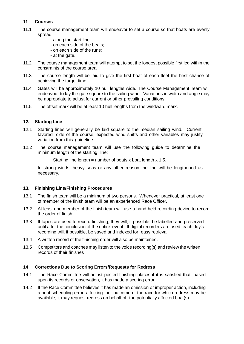# **11 Courses**

- 11.1 The course management team will endeavor to set a course so that boats are evenly spread:
	- along the start line;
	- on each side of the beats;
	- on each side of the runs;
	- at the gate.
- 11.2 The course management team will attempt to set the longest possible first leg within the constraints of the course area.
- 11.3 The course length will be laid to give the first boat of each fleet the best chance of achieving the target time.
- 11.4 Gates will be approximately 10 hull lengths wide. The Course Management Team will endeavour to lay the gate square to the sailing wind. Variations in width and angle may be appropriate to adjust for current or other prevailing conditions.
- 11.5 The offset mark will be at least 10 hull lengths from the windward mark.

#### **12. Starting Line**

- 12.1 Starting lines will generally be laid square to the median sailing wind. Current, favored side of the course, expected wind shifts and other variables may justify variation from this guideline.
- 12.2 The course management team will use the following guide to determine the minimum length of the starting line:

Starting line length = number of boats x boat length  $x$  1.5.

In strong winds, heavy seas or any other reason the line will be lengthened as necessary.

#### **13. Finishing Line/Finishing Procedures**

- 13.1 The finish team will be a minimum of two persons. Whenever practical, at least one of member of the finish team will be an experienced Race Officer.
- 13.2 At least one member of the finish team will use a hand-held recording device to record the order of finish.
- 13.3 If tapes are used to record finishing, they will, if possible, be labelled and preserved until after the conclusion of the entire event. If digital recorders are used, each day's recording will, if possible, be saved and indexed for easy retrieval.
- 13.4 A written record of the finishing order will also be maintained.
- 13.5 Competitors and coaches may listen to the voice recording(s) and review the written records of their finishes

#### **14 Corrections Due to Scoring Errors/Requests for Redress**

- 14.1 The Race Committee will adjust posted finishing places if it is satisfied that, based upon its records or observation, it has made a scoring error.
- 14.2 If the Race Committee believes it has made an omission or improper action, including a heat scheduling error, affecting the outcome of the race for which redress may be available, it may request redress on behalf of the potentially affected boat(s).